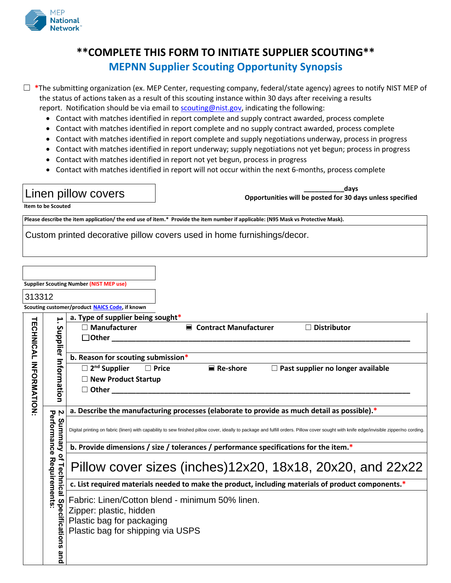

## **\*\*COMPLETE THIS FORM TO INITIATE SUPPLIER SCOUTING\*\* MEPNN Supplier Scouting Opportunity Synopsis**

☐ **\***The submitting organization (ex. MEP Center, requesting company, federal/state agency) agrees to notify NIST MEP of the status of actions taken as a result of this scouting instance within 30 days after receiving a results report. Notification should be via email to [scouting@nist.gov,](mailto:scouting@nist.gov) indicating the following:

- Contact with matches identified in report complete and supply contract awarded, process complete
- Contact with matches identified in report complete and no supply contract awarded, process complete
- Contact with matches identified in report complete and supply negotiations underway, process in progress
- Contact with matches identified in report underway; supply negotiations not yet begun; process in progress
- Contact with matches identified in report not yet begun, process in progress
- Contact with matches identified in report will not occur within the next 6-months, process complete

## Linen pillow covers

**\_\_\_\_\_\_\_\_\_\_\_days Opportunities will be posted for 30 days unless specified**

**Item to be Scouted**

**Please describe the item application/ the end use of item.\* Provide the item number if applicable: (N95 Mask vs Protective Mask).**

Custom printed decorative pillow covers used in home furnishings/decor.

| <b>Supplier Scouting Number (NIST MEP use)</b> |                                                                                   |                                                                                                                                                                                          |  |  |
|------------------------------------------------|-----------------------------------------------------------------------------------|------------------------------------------------------------------------------------------------------------------------------------------------------------------------------------------|--|--|
| 313312                                         |                                                                                   |                                                                                                                                                                                          |  |  |
| Scouting customer/product NAICS Code, if known |                                                                                   |                                                                                                                                                                                          |  |  |
|                                                | ۳.                                                                                | a. Type of supplier being sought*<br>■ Contract Manufacturer<br>$\Box$ Distributor<br>$\Box$ Manufacturer                                                                                |  |  |
| <b>TECHNICAL INFORMATION</b>                   | Supplier Informatio<br>3                                                          | $\Box$ Other                                                                                                                                                                             |  |  |
|                                                |                                                                                   | b. Reason for scouting submission*                                                                                                                                                       |  |  |
|                                                |                                                                                   | $\square$ 2 <sup>nd</sup> Supplier<br>$\blacksquare$ Re-shore<br>$\Box$ Price<br>$\Box$ Past supplier no longer available<br>$\Box$ New Product Startup<br>$\Box$ Other                  |  |  |
|                                                | Performance<br>Ņ<br>Summary of<br>Requirements<br><b>Technical Specifications</b> | a. Describe the manufacturing processes (elaborate to provide as much detail as possible).*                                                                                              |  |  |
|                                                |                                                                                   | Digital printing on fabric (linen) with capability to sew finished pillow cover, ideally to package and fulfill orders. Pillow cover sought with knife edge/invisible zipper/no cording. |  |  |
|                                                |                                                                                   | b. Provide dimensions / size / tolerances / performance specifications for the item.*                                                                                                    |  |  |
|                                                |                                                                                   | Pillow cover sizes (inches)12x20, 18x18, 20x20, and 22x22                                                                                                                                |  |  |
|                                                |                                                                                   | c. List required materials needed to make the product, including materials of product components.*                                                                                       |  |  |
|                                                |                                                                                   | Fabric: Linen/Cotton blend - minimum 50% linen.<br>Zipper: plastic, hidden<br>Plastic bag for packaging<br>Plastic bag for shipping via USPS                                             |  |  |
|                                                | and                                                                               |                                                                                                                                                                                          |  |  |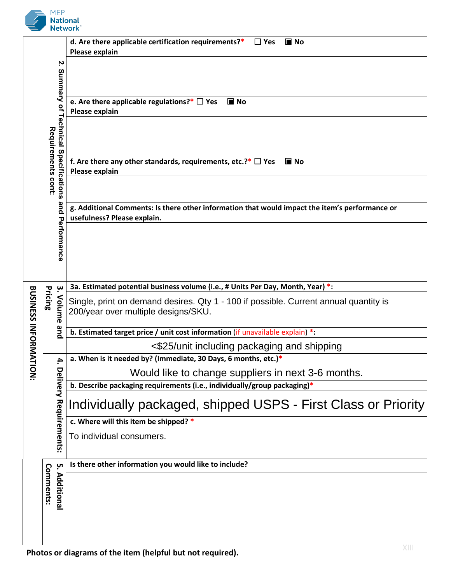

|                                  | Ņ                                                                             | d. Are there applicable certification requirements?*<br>$\Box$ Yes<br>$\blacksquare$ No<br>Please explain                     |
|----------------------------------|-------------------------------------------------------------------------------|-------------------------------------------------------------------------------------------------------------------------------|
|                                  |                                                                               |                                                                                                                               |
|                                  | Summary of                                                                    |                                                                                                                               |
|                                  |                                                                               |                                                                                                                               |
|                                  |                                                                               | e. Are there applicable regulations?* $\Box$ Yes<br>$\blacksquare$ No<br>Please explain                                       |
|                                  | <b>Technical</b>                                                              |                                                                                                                               |
|                                  |                                                                               |                                                                                                                               |
|                                  | Requirements cont:                                                            |                                                                                                                               |
|                                  | <b>Specifications</b>                                                         | f. Are there any other standards, requirements, etc.?* $\Box$ Yes<br>$\blacksquare$ No<br>Please explain                      |
|                                  |                                                                               |                                                                                                                               |
|                                  | and                                                                           |                                                                                                                               |
|                                  |                                                                               | g. Additional Comments: Is there other information that would impact the item's performance or<br>usefulness? Please explain. |
|                                  | Performance                                                                   |                                                                                                                               |
|                                  |                                                                               |                                                                                                                               |
|                                  |                                                                               |                                                                                                                               |
|                                  |                                                                               |                                                                                                                               |
| <b>BUSINESS INFORMAT</b><br>iors | $\dot{\mathbf{e}}$<br>Pricing<br>Volume<br>gnd<br>4<br>Delivery Requirements: | 3a. Estimated potential business volume (i.e., # Units Per Day, Month, Year) *:                                               |
|                                  |                                                                               | Single, print on demand desires. Qty 1 - 100 if possible. Current annual quantity is<br>200/year over multiple designs/SKU.   |
|                                  |                                                                               |                                                                                                                               |
|                                  |                                                                               | b. Estimated target price / unit cost information (if unavailable explain) $*$ :                                              |
|                                  |                                                                               | <\$25/unit including packaging and shipping<br>a. When is it needed by? (Immediate, 30 Days, 6 months, etc.)*                 |
|                                  |                                                                               | Would like to change suppliers in next 3-6 months.                                                                            |
|                                  |                                                                               | b. Describe packaging requirements (i.e., individually/group packaging)*                                                      |
|                                  |                                                                               | Individually packaged, shipped USPS - First Class or Priority                                                                 |
|                                  |                                                                               | c. Where will this item be shipped? *                                                                                         |
|                                  |                                                                               | To individual consumers.                                                                                                      |
|                                  |                                                                               |                                                                                                                               |
|                                  | .ო<br>Comments:<br>Additiona                                                  | Is there other information you would like to include?                                                                         |
|                                  |                                                                               |                                                                                                                               |
|                                  |                                                                               |                                                                                                                               |
|                                  |                                                                               |                                                                                                                               |
|                                  |                                                                               |                                                                                                                               |
|                                  |                                                                               |                                                                                                                               |